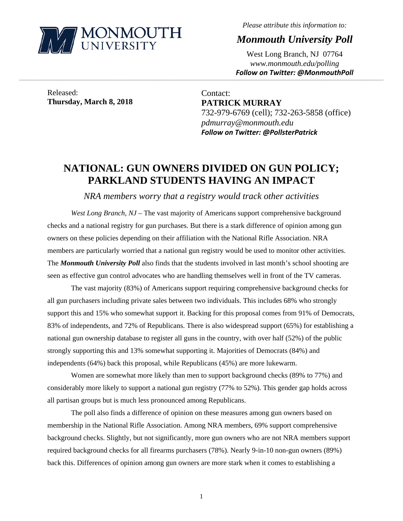

*Please attribute this information to:* 

*Monmouth University Poll* 

West Long Branch, NJ 07764 *www.monmouth.edu/polling Follow on Twitter: @MonmouthPoll*

Released: **Thursday, March 8, 2018** 

Contact: **PATRICK MURRAY**  732-979-6769 (cell); 732-263-5858 (office) *pdmurray@monmouth.edu Follow on Twitter: @PollsterPatrick*

# **NATIONAL: GUN OWNERS DIVIDED ON GUN POLICY; PARKLAND STUDENTS HAVING AN IMPACT**

,一个人的人都是不是,我们的人都是不是,我们的人都是不是,我们的人都是不是,我们的人都是不是,我们的人都是不是,我们的人都是不是,我们的人都是不是,我们的人都是不

*NRA members worry that a registry would track other activities* 

*West Long Branch, NJ* – The vast majority of Americans support comprehensive background checks and a national registry for gun purchases. But there is a stark difference of opinion among gun owners on these policies depending on their affiliation with the National Rifle Association. NRA members are particularly worried that a national gun registry would be used to monitor other activities. The *Monmouth University Poll* also finds that the students involved in last month's school shooting are seen as effective gun control advocates who are handling themselves well in front of the TV cameras.

 The vast majority (83%) of Americans support requiring comprehensive background checks for all gun purchasers including private sales between two individuals. This includes 68% who strongly support this and 15% who somewhat support it. Backing for this proposal comes from 91% of Democrats, 83% of independents, and 72% of Republicans. There is also widespread support (65%) for establishing a national gun ownership database to register all guns in the country, with over half (52%) of the public strongly supporting this and 13% somewhat supporting it. Majorities of Democrats (84%) and independents (64%) back this proposal, while Republicans (45%) are more lukewarm.

 Women are somewhat more likely than men to support background checks (89% to 77%) and considerably more likely to support a national gun registry (77% to 52%). This gender gap holds across all partisan groups but is much less pronounced among Republicans.

 The poll also finds a difference of opinion on these measures among gun owners based on membership in the National Rifle Association. Among NRA members, 69% support comprehensive background checks. Slightly, but not significantly, more gun owners who are not NRA members support required background checks for all firearms purchasers (78%). Nearly 9-in-10 non-gun owners (89%) back this. Differences of opinion among gun owners are more stark when it comes to establishing a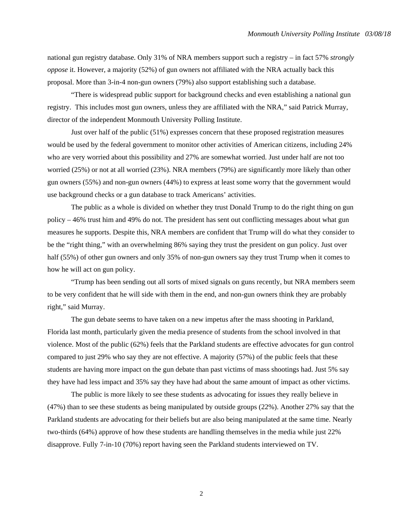national gun registry database. Only 31% of NRA members support such a registry – in fact 57% *strongly oppose* it. However, a majority (52%) of gun owners not affiliated with the NRA actually back this proposal. More than 3-in-4 non-gun owners (79%) also support establishing such a database.

"There is widespread public support for background checks and even establishing a national gun registry. This includes most gun owners, unless they are affiliated with the NRA," said Patrick Murray, director of the independent Monmouth University Polling Institute.

 Just over half of the public (51%) expresses concern that these proposed registration measures would be used by the federal government to monitor other activities of American citizens, including 24% who are very worried about this possibility and 27% are somewhat worried. Just under half are not too worried (25%) or not at all worried (23%). NRA members (79%) are significantly more likely than other gun owners (55%) and non-gun owners (44%) to express at least some worry that the government would use background checks or a gun database to track Americans' activities.

 The public as a whole is divided on whether they trust Donald Trump to do the right thing on gun policy – 46% trust him and 49% do not. The president has sent out conflicting messages about what gun measures he supports. Despite this, NRA members are confident that Trump will do what they consider to be the "right thing," with an overwhelming 86% saying they trust the president on gun policy. Just over half (55%) of other gun owners and only 35% of non-gun owners say they trust Trump when it comes to how he will act on gun policy.

 "Trump has been sending out all sorts of mixed signals on guns recently, but NRA members seem to be very confident that he will side with them in the end, and non-gun owners think they are probably right," said Murray.

 The gun debate seems to have taken on a new impetus after the mass shooting in Parkland, Florida last month, particularly given the media presence of students from the school involved in that violence. Most of the public (62%) feels that the Parkland students are effective advocates for gun control compared to just 29% who say they are not effective. A majority (57%) of the public feels that these students are having more impact on the gun debate than past victims of mass shootings had. Just 5% say they have had less impact and 35% say they have had about the same amount of impact as other victims.

 The public is more likely to see these students as advocating for issues they really believe in (47%) than to see these students as being manipulated by outside groups (22%). Another 27% say that the Parkland students are advocating for their beliefs but are also being manipulated at the same time. Nearly two-thirds (64%) approve of how these students are handling themselves in the media while just 22% disapprove. Fully 7-in-10 (70%) report having seen the Parkland students interviewed on TV.

2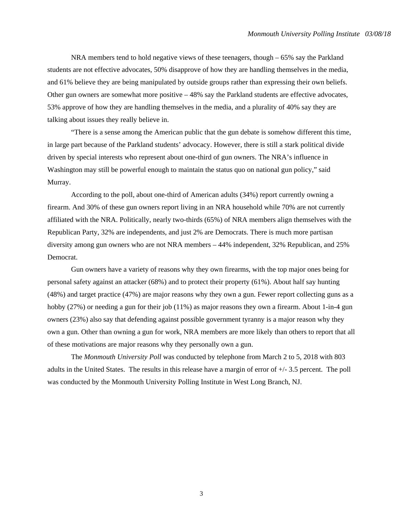NRA members tend to hold negative views of these teenagers, though – 65% say the Parkland students are not effective advocates, 50% disapprove of how they are handling themselves in the media, and 61% believe they are being manipulated by outside groups rather than expressing their own beliefs. Other gun owners are somewhat more positive – 48% say the Parkland students are effective advocates, 53% approve of how they are handling themselves in the media, and a plurality of 40% say they are talking about issues they really believe in.

 "There is a sense among the American public that the gun debate is somehow different this time, in large part because of the Parkland students' advocacy. However, there is still a stark political divide driven by special interests who represent about one-third of gun owners. The NRA's influence in Washington may still be powerful enough to maintain the status quo on national gun policy," said Murray.

 According to the poll, about one-third of American adults (34%) report currently owning a firearm. And 30% of these gun owners report living in an NRA household while 70% are not currently affiliated with the NRA. Politically, nearly two-thirds (65%) of NRA members align themselves with the Republican Party, 32% are independents, and just 2% are Democrats. There is much more partisan diversity among gun owners who are not NRA members – 44% independent, 32% Republican, and 25% Democrat.

 Gun owners have a variety of reasons why they own firearms, with the top major ones being for personal safety against an attacker (68%) and to protect their property (61%). About half say hunting (48%) and target practice (47%) are major reasons why they own a gun. Fewer report collecting guns as a hobby (27%) or needing a gun for their job (11%) as major reasons they own a firearm. About 1-in-4 gun owners (23%) also say that defending against possible government tyranny is a major reason why they own a gun. Other than owning a gun for work, NRA members are more likely than others to report that all of these motivations are major reasons why they personally own a gun.

The *Monmouth University Poll* was conducted by telephone from March 2 to 5, 2018 with 803 adults in the United States. The results in this release have a margin of error of +/- 3.5 percent. The poll was conducted by the Monmouth University Polling Institute in West Long Branch, NJ.

3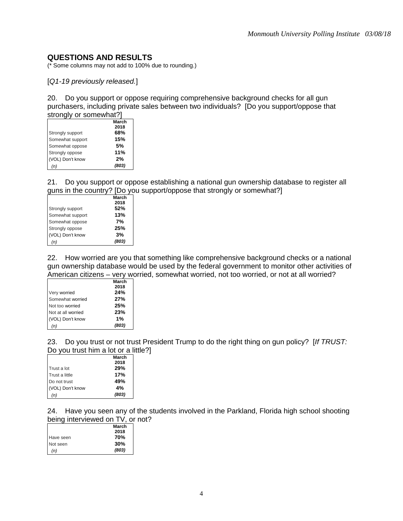## **QUESTIONS AND RESULTS**

(\* Some columns may not add to 100% due to rounding.)

[*Q1-19 previously released.*]

20. Do you support or oppose requiring comprehensive background checks for all gun purchasers, including private sales between two individuals? [Do you support/oppose that strongly or somewhat?]

| March |
|-------|
| 2018  |
| 68%   |
| 15%   |
| .5%   |
| 11%   |
| 2%    |
| (803) |
|       |

21. Do you support or oppose establishing a national gun ownership database to register all guns in the country? [Do you support/oppose that strongly or somewhat?]

|                  | March |
|------------------|-------|
|                  | 2018  |
| Strongly support | 52%   |
| Somewhat support | 13%   |
| Somewhat oppose  | 7%    |
| Strongly oppose  | 25%   |
| (VOL) Don't know | 3%    |
| (n)              | (803) |

22. How worried are you that something like comprehensive background checks or a national gun ownership database would be used by the federal government to monitor other activities of American citizens – very worried, somewhat worried, not too worried, or not at all worried?

|                    | March |
|--------------------|-------|
|                    | 2018  |
| Very worried       | 24%   |
| Somewhat worried   | 27%   |
| Not too worried    | 25%   |
| Not at all worried | 23%   |
| (VOL) Don't know   | 1%    |
| (n)                | (803) |

23. Do you trust or not trust President Trump to do the right thing on gun policy? [*If TRUST:* Do you trust him a lot or a little?]

|                  | March |
|------------------|-------|
|                  | 2018  |
| Trust a lot      | 29%   |
| Trust a little   | 17%   |
| Do not trust     | 49%   |
| (VOL) Don't know | 4%    |
| (n)              | (803) |

24. Have you seen any of the students involved in the Parkland, Florida high school shooting being interviewed on TV, or not?

|           | March |
|-----------|-------|
|           | 2018  |
| Have seen | 70%   |
| Not seen  | 30%   |
| (n)       | (803) |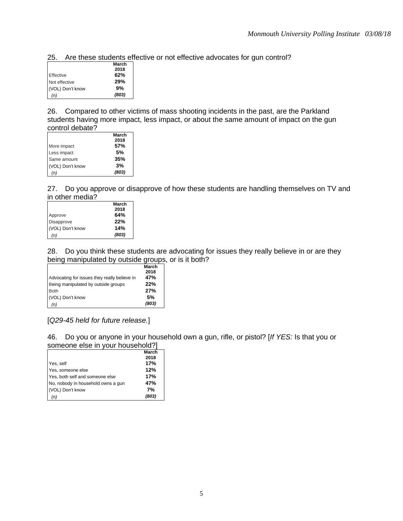25. Are these students effective or not effective advocates for gun control?

|                  | March |
|------------------|-------|
|                  | 2018  |
| Effective        | 62%   |
| Not effective    | 29%   |
| (VOL) Don't know | 9%    |
| (n)              | (803) |

26. Compared to other victims of mass shooting incidents in the past, are the Parkland students having more impact, less impact, or about the same amount of impact on the gun control debate?

|                  | March |
|------------------|-------|
|                  | 2018  |
| More impact      | 57%   |
| Less impact      | .5%   |
| Same amount      | 35%   |
| (VOL) Don't know | 3%    |
| (n)              | (803) |
|                  |       |

27. Do you approve or disapprove of how these students are handling themselves on TV and in other media?

|                  | March |
|------------------|-------|
|                  | 2018  |
| Approve          | 64%   |
| Disapprove       | 22%   |
| (VOL) Don't know | 14%   |
| (n)              | (803) |

28. Do you think these students are advocating for issues they really believe in or are they being manipulated by outside groups, or is it both?

|                                              | March<br>2018 |
|----------------------------------------------|---------------|
| Advocating for issues they really believe in | 47%           |
| Being manipulated by outside groups          | 22%           |
| <b>Both</b>                                  | 27%           |
| (VOL) Don't know                             | .5%           |
| (n)                                          | (803)         |

[*Q29-45 held for future release.*]

46. Do you or anyone in your household own a gun, rifle, or pistol? [*If YES:* Is that you or someone else in your household?]

|                                    | March |
|------------------------------------|-------|
|                                    | 2018  |
| Yes, self                          | 17%   |
| Yes, someone else                  | 12%   |
| Yes, both self and someone else    | 17%   |
| No, nobody in household owns a gun | 47%   |
| (VOL) Don't know                   | 7%    |
| (n)                                | (803) |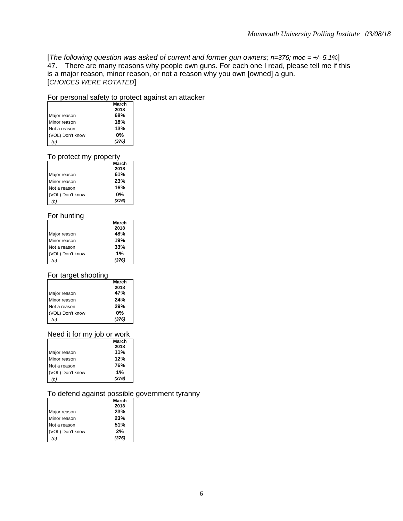[*The following question was asked of current and former gun owners; n=376; moe = +/- 5.1%*] 47. There are many reasons why people own guns. For each one I read, please tell me if this is a major reason, minor reason, or not a reason why you own [owned] a gun. [*CHOICES WERE ROTATED*]

## For personal safety to protect against an attacker

|                  | March |
|------------------|-------|
|                  | 2018  |
| Major reason     | 68%   |
| Minor reason     | 18%   |
| Not a reason     | 13%   |
| (VOL) Don't know | $0\%$ |
|                  | (376) |

### To protect my property

|                  | March |
|------------------|-------|
|                  | 2018  |
| Major reason     | 61%   |
| Minor reason     | 23%   |
| Not a reason     | 16%   |
| (VOL) Don't know | $0\%$ |
| (n)              | (376) |

## For hunting

|                  | March |
|------------------|-------|
|                  | 2018  |
| Major reason     | 48%   |
| Minor reason     | 19%   |
| Not a reason     | 33%   |
| (VOL) Don't know | 1%    |
| (n)              | (376) |

## For target shooting

|                  | March |
|------------------|-------|
|                  | 2018  |
| Major reason     | 47%   |
| Minor reason     | 24%   |
| Not a reason     | 29%   |
| (VOL) Don't know | $0\%$ |
| (n)              | (376) |

## Need it for my job or work

|                  | March |
|------------------|-------|
|                  | 2018  |
| Major reason     | 11%   |
| Minor reason     | 12%   |
| Not a reason     | 76%   |
| (VOL) Don't know | 1%    |
| (n)              | (376) |

## To defend against possible government tyranny

|                  | March |
|------------------|-------|
|                  | 2018  |
| Major reason     | 23%   |
| Minor reason     | 23%   |
| Not a reason     | 51%   |
| (VOL) Don't know | 2%    |
| (n)              | (376) |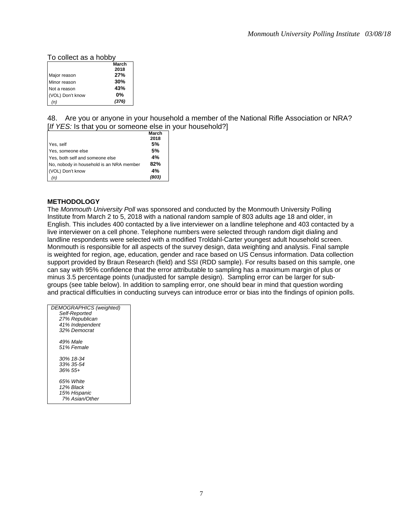## To collect as a hobby

|                  | March |
|------------------|-------|
|                  | 2018  |
| Major reason     | 27%   |
| Minor reason     | 30%   |
| Not a reason     | 43%   |
| (VOL) Don't know | $0\%$ |
| (n)              | (376) |

48. Are you or anyone in your household a member of the National Rifle Association or NRA? [*If YES:* Is that you or someone else in your household?]

|                                          | March |
|------------------------------------------|-------|
|                                          | 2018  |
| Yes, self                                | 5%    |
| Yes, someone else                        | 5%    |
| Yes, both self and someone else          | 4%    |
| No, nobody in household is an NRA member | 82%   |
| (VOL) Don't know                         | 4%    |
| (n)                                      | (803) |

#### **METHODOLOGY**

The *Monmouth University Poll* was sponsored and conducted by the Monmouth University Polling Institute from March 2 to 5, 2018 with a national random sample of 803 adults age 18 and older, in English. This includes 400 contacted by a live interviewer on a landline telephone and 403 contacted by a live interviewer on a cell phone. Telephone numbers were selected through random digit dialing and landline respondents were selected with a modified Troldahl-Carter youngest adult household screen. Monmouth is responsible for all aspects of the survey design, data weighting and analysis. Final sample is weighted for region, age, education, gender and race based on US Census information. Data collection support provided by Braun Research (field) and SSI (RDD sample). For results based on this sample, one can say with 95% confidence that the error attributable to sampling has a maximum margin of plus or minus 3.5 percentage points (unadjusted for sample design). Sampling error can be larger for subgroups (see table below). In addition to sampling error, one should bear in mind that question wording and practical difficulties in conducting surveys can introduce error or bias into the findings of opinion polls.

| DEMOGRAPHICS (weighted)<br>Self-Reported |
|------------------------------------------|
| 27% Republican                           |
| 41% Independent                          |
| 32% Democrat                             |
| 49% Male                                 |
| 51% Female                               |
| 30% 18-34                                |
| 33% 35-54                                |
| $.36\%$ 55+                              |
| 65% White                                |
| 12% Black                                |
| 15% Hispanic                             |
| 7% Asian/Other                           |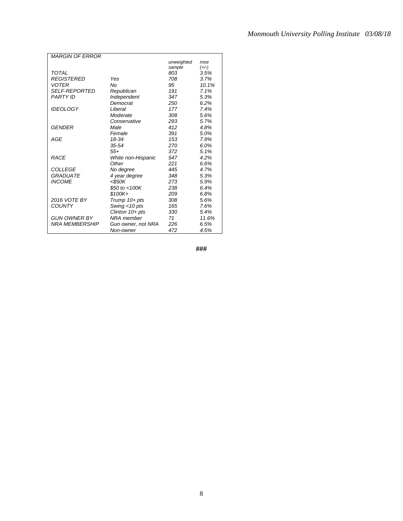| <b>MARGIN OF ERROR</b> |                    |            |         |
|------------------------|--------------------|------------|---------|
|                        |                    | unweighted | moe     |
|                        |                    | sample     | $(+/-)$ |
| <b>TOTAL</b>           |                    | 803        | 3.5%    |
| <b>REGISTERED</b>      | Yes                | 708        | 3.7%    |
| <b>VOTER</b>           | No                 | 95         | 10.1%   |
| <b>SELF-REPORTED</b>   | Republican         | 191        | 7.1%    |
| <b>PARTY ID</b>        | Independent        | 347        | 5.3%    |
|                        | Democrat           | 250        | 6.2%    |
| <b>IDEOLOGY</b>        | Liberal            | 177        | 7.4%    |
|                        | Moderate           | 308        | 5.6%    |
|                        | Conservative       | 293        | 5.7%    |
| <b>GENDER</b>          | Male               | 412        | 4.8%    |
|                        | Female             | 391        | 5.0%    |
| AGE                    | 18-34              | 153        | 7.9%    |
|                        |                    |            |         |
|                        | $35 - 54$          | 270        | 6.0%    |
|                        | $55+$              | 372        | 5.1%    |
| <b>RACE</b>            | White non-Hispanic | 547        | 4.2%    |
|                        | Other              | 221        | 6.6%    |
| COLLEGE                | No degree          | 445        | 4.7%    |
| <b>GRADUATE</b>        | 4 year degree      | 348        | 5.3%    |
| <b>INCOME</b>          | $<$ \$50K          | 273        | 5.9%    |
|                        | \$50 to $<$ 100K   | 238        | 6.4%    |
|                        | $$100K +$          | 209        | 6.8%    |
| 2016 VOTE BY           | Trump 10+ pts      | 308        | 5.6%    |
| <b>COUNTY</b>          | Swing <10 pts      | 165        | 7.6%    |
|                        | Clinton 10+ pts    | 330        | 5.4%    |
| <b>GUN OWNER BY</b>    | NRA member         | 71         | 11.6%   |
| <b>NRA MEMBERSHIP</b>  | Gun owner, not NRA | 226        | 6.5%    |
|                        | Non-owner          | 472        | 4.5%    |

**###**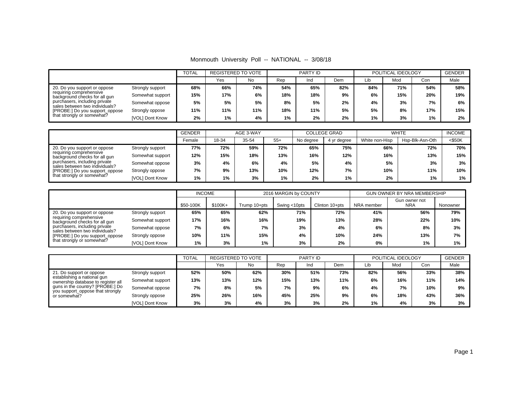Monmouth University Poll -- NATIONAL -- 3/08/18

|                                                                                                                                                                                                                             |                  | <b>TOTAL</b> | <b>REGISTERED TO VOTE</b> |     |     | <b>PARTY ID</b> |     |     | POLITICAL IDEOLOGY |     | <b>GENDER</b> |
|-----------------------------------------------------------------------------------------------------------------------------------------------------------------------------------------------------------------------------|------------------|--------------|---------------------------|-----|-----|-----------------|-----|-----|--------------------|-----|---------------|
|                                                                                                                                                                                                                             |                  |              | Yes                       | No  | Rep | Ind             | Dem | Lib | Mod                | Con | Male          |
| 20. Do you support or oppose<br>requiring comprehensive<br>background checks for all gun<br>purchasers, including private<br>sales between two individuals?<br>[PROBE:] Do you support_oppose<br>that strongly or somewhat? | Strongly support | 68%          | 66%                       | 74% | 54% | 65%             | 82% | 84% | 71%                | 54% | 58%           |
|                                                                                                                                                                                                                             | Somewhat support | 15%          | 17%                       | 6%  | 18% | 18%             | 9%  | 6%  | 15%                | 20% | 19%           |
|                                                                                                                                                                                                                             | Somewhat oppose  | 5%           | 5%                        | 5%  | 8%  | 5%              | 2%  | 4%  | 3%                 | 7%  | 6%            |
|                                                                                                                                                                                                                             | Strongly oppose  | 11%          | 11%                       | 11% | 18% | 11%             | 5%  | 5%  | 8%                 | 17% | 15%           |
|                                                                                                                                                                                                                             | [VOL] Dont Know  | 2%           | 1%                        | 4%  | 1%  | 2%              | 2%  | 1%  | 3%                 | 1%  | 2%            |

|                                                                                                                                                                                                                             |                  | <b>GENDER</b><br>AGE 3-WAY |       |       | <b>COLLEGE GRAD</b> |           | <b>WHITE</b> |                | <b>INCOME</b>   |           |
|-----------------------------------------------------------------------------------------------------------------------------------------------------------------------------------------------------------------------------|------------------|----------------------------|-------|-------|---------------------|-----------|--------------|----------------|-----------------|-----------|
|                                                                                                                                                                                                                             |                  | Female                     | 18-34 | 35-54 | $55+$               | No degree | 4 yr degree  | White non-Hisp | Hsp-Blk-Asn-Oth | $<$ \$50K |
| 20. Do you support or oppose<br>requiring comprehensive<br>background checks for all gun<br>purchasers, including private<br>sales between two individuals?<br>[PROBE:] Do you support_oppose<br>that strongly or somewhat? | Strongly support | 77%                        | 72%   | 59%   | 72%                 | 65%       | 75%          | 66%            | 72%             | 70%       |
|                                                                                                                                                                                                                             | Somewhat support | 12%                        | 15%   | 18%   | 13%                 | 16%       | 12%          | 16%            | 13%             | 15%       |
|                                                                                                                                                                                                                             | Somewhat oppose  | 3%                         | 4%    | 6%    | 4%                  | 5%        | 4%           | 5%             | 3%              | 3%        |
|                                                                                                                                                                                                                             | Strongly oppose  | 7%                         | 9%    | 13%   | 10%                 | 12%       | 7%           | 10%            | 11%             | 10%       |
|                                                                                                                                                                                                                             | [VOL] Dont Know  | $1\%$                      | 1%    | 3%    | 1%                  | 2%        | 1%           | 2%             | 1%              | 1%        |

|                                                                                                                                                                                               | <b>INCOME</b>    |           |           | 2016 MARGIN by COUNTY |              | <b>GUN OWNER BY NRA MEMBERSHIP</b> |            |                             |          |
|-----------------------------------------------------------------------------------------------------------------------------------------------------------------------------------------------|------------------|-----------|-----------|-----------------------|--------------|------------------------------------|------------|-----------------------------|----------|
|                                                                                                                                                                                               |                  | \$50-100K | $$100K +$ | Trump 10+pts          | Swing <10pts | Clinton 10+pts                     | NRA member | Gun owner not<br><b>NRA</b> | Nonowner |
| 20. Do you support or oppose<br>requiring comprehensive<br>background checks for all gun<br>purchasers, including private<br>sales between two individuals?<br>[PROBE:] Do you support_oppose | Strongly support | 65%       | 65%       | 62%                   | 71%          | 72%                                | 41%        | 56%                         | 79%      |
|                                                                                                                                                                                               | Somewhat support | 17%       | 16%       | 16%                   | 19%          | 13%                                | 28%        | 22%                         | 10%      |
|                                                                                                                                                                                               | Somewhat oppose  | 7%        | 6%        | 7%                    | 3%           | 4%                                 | 6%         | 8%                          | 3%       |
|                                                                                                                                                                                               | Strongly oppose  | 10%       | 11%       | 15%                   | 4%           | 10%                                | 24%        | 13%                         | 7%       |
| that strongly or somewhat?                                                                                                                                                                    | [VOL] Dont Know  | 1%        | 3%        | 1%                    | 3%           | 2%                                 | 0%         | 1%                          | 1%       |

|                                                                                                                                                                                       |                        |     | REGISTERED TO VOTE |     | PARTY ID |     |     | POLITICAL IDEOLOGY |     |     | <b>GENDER</b> |
|---------------------------------------------------------------------------------------------------------------------------------------------------------------------------------------|------------------------|-----|--------------------|-----|----------|-----|-----|--------------------|-----|-----|---------------|
|                                                                                                                                                                                       |                        |     | Yes                | No  | Rep      | Ind | Dem | Lib                | Mod | Con | Male          |
| 21. Do support or oppose<br>establishing a national gun<br>ownership database to register all<br>guns in the country? [PROBE:] Do<br>you support_oppose that strongly<br>or somewhat? | Strongly support       | 52% | 50%                | 62% | 30%      | 51% | 73% | 82%                | 56% | 33% | 38%           |
|                                                                                                                                                                                       | Somewhat support       | 13% | 13%                | 12% | 15%      | 13% | 11% | 6%                 | 16% | 11% | 14%           |
|                                                                                                                                                                                       | Somewhat oppose        | 7%  | 8%                 | 5%  | 7%       | 9%  | 6%  | 4%                 | 7%  | 10% | 9%            |
|                                                                                                                                                                                       | Strongly oppose        | 25% | 26%                | 16% | 45%      | 25% | 9%  | 6%                 | 18% | 43% | 36%           |
|                                                                                                                                                                                       | <b>IVOLI Dont Know</b> | 3%  | 3%                 | 4%  | 3%       | 3%  | 2%  | 1%                 | 4%  | 3%  | 3%            |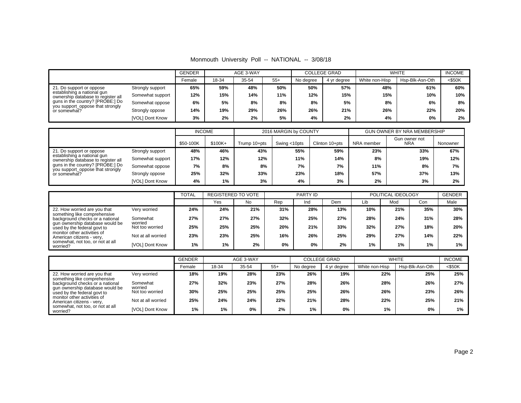Monmouth University Poll -- NATIONAL -- 3/08/18

|                                                                   |                  | <b>GENDER</b> |       | AGE 3-WAY |       |           | <b>COLLEGE GRAD</b> |                | <b>WHITE</b>    | <b>INCOME</b> |
|-------------------------------------------------------------------|------------------|---------------|-------|-----------|-------|-----------|---------------------|----------------|-----------------|---------------|
|                                                                   |                  | Female        | 18-34 | 35-54     | $55+$ | No degree | 4 yr degree         | White non-Hisp | Hsp-Blk-Asn-Oth | $<$ \$50K     |
| 21. Do support or oppose                                          | Strongly support | 65%           | 59%   | 48%       | 50%   | 50%       | 57%                 | 48%            | 61%             | 60%           |
| establishing a national gun<br>ownership database to register all | Somewhat support | 12%           | 15%   | 14%       | 11%   | 12%       | 15%                 | 15%            | 10%             | 10%           |
| guns in the country? [PROBE:] Do                                  | Somewhat oppose  | 6%            | 5%    | 8%        | 8%    | 8%        | 5%                  | 8%             | 6%              | 8%            |
| you support_oppose that strongly<br>or somewhat?                  | Strongly oppose  | 14%           | 19%   | 29%       | 26%   | 26%       | 21%                 | 26%            | 22%             | 20%           |
|                                                                   | [VOL] Dont Know  | 3%            | 2%    | 2%        | 5%    | 4%        | 2%                  | 4%             | 0%              | 2%            |

|                                                                      |                  | <b>INCOME</b> |           |              | 2016 MARGIN by COUNTY |                |            | <b>GUN OWNER BY NRA MEMBERSHIP</b> |          |
|----------------------------------------------------------------------|------------------|---------------|-----------|--------------|-----------------------|----------------|------------|------------------------------------|----------|
|                                                                      |                  | \$50-100K     | $$100K +$ | Trump 10+pts | Swing <10pts          | Clinton 10+pts | NRA member | Gun owner not<br><b>NRA</b>        | Nonowner |
| 21. Do support or oppose                                             | Strongly support | 48%           | 46%       | 43%          | 55%                   | 59%            | 23%        | 33%                                | 67%      |
| establishing a national gun<br>ownership database to register all    | Somewhat support | 17%           | 12%       | 12%          | 11%                   | 14%            | 8%         | 19%                                | 12%      |
| guns in the country? [PROBE:] Do<br>you support_oppose that strongly | Somewhat oppose  | 7%            | 8%        | 8%           | 7%                    | 7%             | 11%        | 8%                                 | 7%       |
| or somewhat?                                                         | Strongly oppose  | 25%           | 32%       | 33%          | 23%                   | 18%            | 57%        | 37%                                | 13%      |
|                                                                      | [VOL] Dont Know  | 4%            | 1%        | 3%           | 4%                    | 3%             | 2%         | 3%                                 | 2%       |

|                                                                |                     | <b>TOTAL</b> | REGISTERED TO VOTE |     | PARTY ID |     |     | POLITICAL IDEOLOGY | <b>GENDER</b> |     |      |
|----------------------------------------------------------------|---------------------|--------------|--------------------|-----|----------|-----|-----|--------------------|---------------|-----|------|
|                                                                |                     |              | Yes                | No  | Rep      | Ind | Dem | Lib                | Mod           | Con | Male |
| 22. How worried are you that<br>something like comprehensive   | Very worried        | 24%          | 24%                | 21% | 31%      | 28% | 13% | 10%                | 21%           | 35% | 30%  |
| background checks or a national                                | Somewhat<br>worried | 27%          | 27%                | 27% | 32%      | 25% | 27% | 28%                | 24%           | 31% | 28%  |
| gun ownership database would be<br>used by the federal govt to | Not too worried     | 25%          | 25%                | 25% | 20%      | 21% | 33% | 32%                | 27%           | 18% | 20%  |
| monitor other activities of<br>American citizens - very,       | Not at all worried  | 23%          | 23%                | 25% | 16%      | 26% | 25% | 29%                | 27%           | 14% | 22%  |
| somewhat, not too, or not at all<br>worried?                   | [VOL] Dont Know     | 1%           | 1%                 | 2%  | 0%       | 0%  | 2%  | 1%                 | 1%            | 1%  | 1%   |

|                                                                |                     | <b>GENDER</b> |       | AGE 3-WAY |       |           | <b>COLLEGE GRAD</b> |                | <b>WHITE</b>    | <b>INCOME</b> |
|----------------------------------------------------------------|---------------------|---------------|-------|-----------|-------|-----------|---------------------|----------------|-----------------|---------------|
|                                                                |                     | Female        | 18-34 | 35-54     | $55+$ | No degree | 4 yr degree         | White non-Hisp | Hsp-Blk-Asn-Oth | $<$ \$50K     |
| 22. How worried are you that<br>something like comprehensive   | Very worried        | 18%           | 19%   | 28%       | 23%   | 26%       | 19%                 | 22%            | 25%             | 25%           |
| background checks or a national                                | Somewhat<br>worried | 27%           | 32%   | 23%       | 27%   | 28%       | 26%                 | 28%            | 26%             | 27%           |
| gun ownership database would be<br>used by the federal govt to | Not too worried     | 30%           | 25%   | 25%       | 25%   | 25%       | 26%                 | 26%            | 23%             | 26%           |
| monitor other activities of<br>American citizens - very,       | Not at all worried  | 25%           | 24%   | 24%       | 22%   | 21%       | 28%                 | 22%            | 25%             | 21%           |
| somewhat, not too, or not at all<br>worried?                   | [VOL] Dont Know     | 1%            | 1%    | 0%        | 2%    | 1%        | $0\%$               | 1%             | 0%              | 1%            |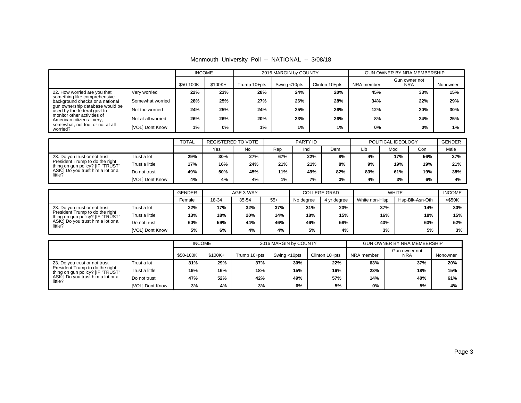|                                                                     |                    |               | <b>INCOME</b> |                           | 2016 MARGIN by COUNTY |           |     |                     |                | <b>GUN OWNER BY NRA MEMBERSHIP</b> |                             |               |
|---------------------------------------------------------------------|--------------------|---------------|---------------|---------------------------|-----------------------|-----------|-----|---------------------|----------------|------------------------------------|-----------------------------|---------------|
|                                                                     |                    | \$50-100K     | \$100K+       | Trump 10+pts              | Swing <10pts          |           |     | Clinton 10+pts      | NRA member     |                                    | Gun owner not<br><b>NRA</b> | Nonowner      |
| 22. How worried are you that                                        | Very worried       | 22%           | 23%           | 28%                       |                       | 24%       |     | 20%                 | 45%            |                                    | 33%                         | 15%           |
| something like comprehensive<br>background checks or a national     | Somewhat worried   | 28%           | 25%           | 27%                       |                       | 26%       |     | 28%                 | 34%            |                                    | 22%                         | 29%           |
| gun ownership database would be<br>used by the federal govt to      | Not too worried    | 24%           | 25%           | 24%                       |                       | 25%       |     | 26%                 | 12%            |                                    | 20%                         | 30%           |
| monitor other activities of<br>American citizens - very,            | Not at all worried | 26%           | 26%           | 20%                       |                       | 23%       |     | 26%                 | 8%             |                                    | 24%                         | 25%           |
| somewhat, not too, or not at all<br>worried?                        | [VOL] Dont Know    | 1%            | 0%            | 1%                        |                       | 1%        |     | 1%                  | 0%             |                                    | 0%                          | $1\%$         |
|                                                                     |                    | <b>TOTAL</b>  |               | <b>REGISTERED TO VOTE</b> |                       | PARTY ID  |     |                     |                | POLITICAL IDEOLOGY                 |                             | <b>GENDER</b> |
|                                                                     |                    |               | Yes           | <b>No</b>                 | Rep                   | Ind       |     | Dem                 | Lib            | Mod                                | Con                         | Male          |
| 23. Do you trust or not trust                                       | Trust a lot        | 29%           | 30%           | 27%                       | 67%                   |           | 22% | 8%                  | 4%             | 17%                                | 56%                         | 37%           |
| President Trump to do the right<br>thing on gun policy? [IF "TRUST" | Trust a little     | 17%           | 16%           | 24%                       | 21%                   |           | 21% | 8%                  | 9%             | 19%                                | 19%                         | 21%           |
| ASK:] Do you trust him a lot or a                                   | Do not trust       | 49%           | 50%           | 45%                       | 11%                   |           | 49% | 82%                 | 83%            | 61%                                | 19%                         | 38%           |
| little?                                                             | [VOL] Dont Know    | 4%            | 4%            | 4%                        | 1%                    |           | 7%  | 3%                  | 4%             | 3%                                 | 6%                          | 4%            |
|                                                                     |                    |               |               |                           |                       |           |     |                     |                |                                    |                             |               |
|                                                                     |                    | <b>GENDER</b> |               | AGE 3-WAY                 |                       |           |     | <b>COLLEGE GRAD</b> |                | <b>WHITE</b>                       |                             | <b>INCOME</b> |
|                                                                     |                    | Female        | 18-34         | 35-54                     | $55+$                 | No degree |     | 4 yr degree         | White non-Hisp |                                    | Hsp-Blk-Asn-Oth             | $<$ \$50K     |
| 23. Do you trust or not trust<br>President Trump to do the right    | Trust a lot        | 22%           | 17%           | 32%                       | 37%                   |           | 31% | 23%                 |                | 37%                                | 14%                         | 30%           |
| thing on gun policy? [IF "TRUST"                                    | Trust a little     | 13%           | 18%           | 20%                       | 14%                   |           | 18% | 15%                 |                | 16%                                | 18%                         | 15%           |
| ASK:] Do you trust him a lot or a<br>little?                        | Do not trust       | 60%           | 59%           | 44%                       | 46%                   |           | 46% | 58%                 |                | 43%                                | 63%                         | 52%           |
|                                                                     | [VOL] Dont Know    | 5%            | 6%            | 4%                        | 4%                    |           | 5%  | 4%                  |                | 3%                                 | 5%                          | 3%            |
|                                                                     |                    | <b>INCOME</b> |               |                           | 2016 MARGIN by COUNTY |           |     |                     |                | <b>GUN OWNER BY NRA MEMBERSHIP</b> |                             |               |
|                                                                     |                    | \$50-100K     | \$100K+       | Trump 10+pts              | Swing <10pts          |           |     | Clinton 10+pts      | NRA member     | Gun owner not<br><b>NRA</b>        |                             | Nonowner      |
| 23. Do you trust or not trust                                       | Trust a lot        | 31%           | 29%           | 37%                       |                       | 30%       |     | 22%                 | 63%            |                                    | 37%                         | 20%           |
| President Trump to do the right<br>thing on gun policy? [IF "TRUST" | Trust a little     | 19%           | 16%           | 18%                       |                       | 15%       |     | 16%                 | 23%            |                                    | 18%                         | 15%           |
| ASK:] Do you trust him a lot or a<br>little?                        | Do not trust       | 47%           | 52%           | 42%                       |                       | 49%       |     | 57%                 | 14%            |                                    | 40%                         | 61%           |
|                                                                     | [VOL] Dont Know    | 3%            | 4%            | 3%                        |                       | 6%        |     | 5%                  | 0%             |                                    | 5%                          | 4%            |

Monmouth University Poll -- NATIONAL -- 3/08/18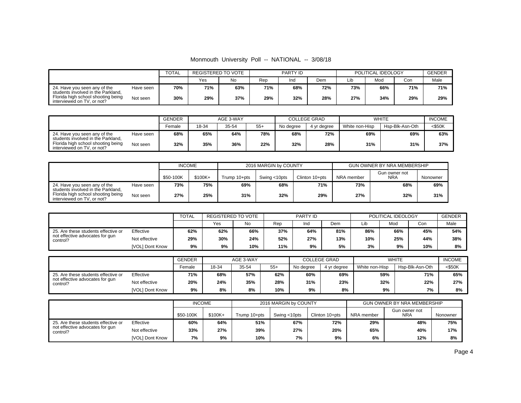| Monmouth University Poll -- NATIONAL -- 3/08/18 |  |  |  |  |  |
|-------------------------------------------------|--|--|--|--|--|
|-------------------------------------------------|--|--|--|--|--|

|                                                                    |           | <b>TOTAL</b> | REGISTERED TO VOTE |     |     | PARTY ID |     | POLITICAL IDEOLOGY | <b>GENDER</b> |     |      |
|--------------------------------------------------------------------|-----------|--------------|--------------------|-----|-----|----------|-----|--------------------|---------------|-----|------|
|                                                                    |           |              | Yes                | No  | Rep | Ind      | Dem | Lib                | Moc           | Con | Male |
| 24. Have you seen any of the<br>students involved in the Parkland. | Have seen | 70%          | 71%                | 63% | 71% | 68%      | 72% | 73%                | 66%           | 71% | 71%  |
| Florida high school shooting being<br>interviewed on TV, or not?   | Not seen  | 30%          | 29%                | 37% | 29% | 32%      | 28% | 27%                | 34%           | 29% | 29%  |

|                                                                    |           | GENDER |       | AGE 3-WAY |       |           | <b>COLLEGE GRAD</b> |                | <b>WHITE</b>    | <b>INCOME</b> |
|--------------------------------------------------------------------|-----------|--------|-------|-----------|-------|-----------|---------------------|----------------|-----------------|---------------|
|                                                                    |           | Female | 18-34 | 35-54     | $55+$ | No dearee | 4 vr dearee         | White non-Hisp | Hsp-Blk-Asn-Oth | $<$ \$50K     |
| 24. Have you seen any of the<br>students involved in the Parkland. | Have seen | 68%    | 65%   | 64%       | 78%   | 68%       | 72%                 | 69%            | 69%             | 63%           |
| Florida high school shooting being<br>interviewed on TV, or not?   | Not seen  | 32%    | 35%   | 36%       | 22%   | 32%       | 28%                 | 31%            | 31%             | 37%           |

|                                                                                                        |           | <b>INCOME</b> |           |              | 2016 MARGIN by COUNTY |                | GUN OWNER BY NRA MEMBERSHIP |                      |          |  |
|--------------------------------------------------------------------------------------------------------|-----------|---------------|-----------|--------------|-----------------------|----------------|-----------------------------|----------------------|----------|--|
|                                                                                                        |           | \$50-100K     | $$100K +$ | Trump 10+pts | Swing <10pts          | Clinton 10+pts | NRA member                  | Gun owner not<br>NRA | Nonowner |  |
| 24. Have you seen any of the                                                                           | Have seen | 73%           | 75%       | 69%          | 68%                   | 71%            | 73%                         | 68%                  | 69%      |  |
| students involved in the Parkland.<br>Florida high school shooting being<br>interviewed on TV, or not? | Not seen  | 27%           | 25%       | 31%          | 32%                   | 29%            | 27%                         | 32%                  | 31%      |  |

|                                             |                 | <b>TOTAL</b> | REGISTERED TO VOTE |     | PARTY ID |     |     | POLITICAL IDEOLOGY | <b>GENDER</b> |     |      |
|---------------------------------------------|-----------------|--------------|--------------------|-----|----------|-----|-----|--------------------|---------------|-----|------|
|                                             |                 |              | Yes                | No  | Rep      | Ind | Dem | Lib                | Mod           | Con | Male |
| 25. Are these students effective or         | Effective       | 62%          | 62%                | 66% | 37%      | 64% | 81% | 86%                | 66%           | 45% | 54%  |
| not effective advocates for gun<br>control? | Not effective   | 29%          | 30%                | 24% | 52%      | 27% | 13% | 10%                | 25%           | 44% | 38%  |
|                                             | [VOL] Dont Know | 9%           | 9%                 | 10% | 11%      | 9%  | 5%  | 3%                 | 9%            | 10% | 8%   |

|                                             |                 | <b>GENDER</b><br>AGE 3-WAY |       |       |       | <b>COLLEGE GRAD</b> | <b>WHITE</b> | <b>INCOME</b>  |                 |        |
|---------------------------------------------|-----------------|----------------------------|-------|-------|-------|---------------------|--------------|----------------|-----------------|--------|
|                                             |                 | Female                     | 18-34 | 35-54 | $55+$ | No dearee           | 4 vr dearee  | White non-Hisp | Hsp-Blk-Asn-Oth | <\$50K |
| 25. Are these students effective or         | Effective       | 71%                        | 68%   | 57%   | 62%   | 60%                 | 69%          | 59%            | 71%             | 65%    |
| not effective advocates for gun<br>control? | Not effective   | 20%                        | 24%   | 35%   | 28%   | 31%                 | 23%          | 32%            | 22%             | 27%    |
|                                             | [VOL] Dont Know | 9%                         | 8%    | 8%    | 10%   | 9%                  | 8%           | 9%             | 7%              | 8%     |

|                                                  |                       | <b>INCOME</b> |         |              | 2016 MARGIN by COUNTY |                |            | GUN OWNER BY NRA MEMBERSHIP |          |
|--------------------------------------------------|-----------------------|---------------|---------|--------------|-----------------------|----------------|------------|-----------------------------|----------|
|                                                  |                       | \$50-100K     | \$100K+ | Trump 10+pts | Swing <10pts          | Clinton 10+pts | NRA member | Gun owner not<br><b>NRA</b> | Nonowner |
| Effective<br>25. Are these students effective or |                       | 60%           | 64%     | 51%          | 67%                   | 72%            | 29%        | 48%                         | 75%      |
| not effective advocates for gun<br>control?      | Not effective         | 33%           | 27%     | 39%          | 27%                   | 20%            | 65%        | 40%                         | 17%      |
|                                                  | 7%<br>[VOL] Dont Know |               |         | 10%          | 7%                    | 9%             | 6%         | 12%                         | 8%       |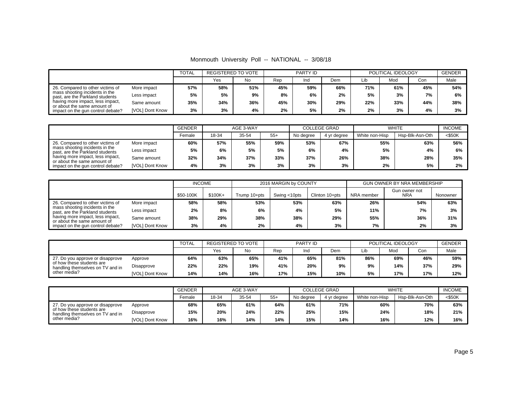Monmouth University Poll -- NATIONAL -- 3/08/18

|                                                                   |                 | <b>TOTAL</b> | <b>REGISTERED TO VOTE</b> |     |     | PARTY ID |     |     | POLITICAL IDEOLOGY |     | <b>GENDER</b> |
|-------------------------------------------------------------------|-----------------|--------------|---------------------------|-----|-----|----------|-----|-----|--------------------|-----|---------------|
|                                                                   |                 |              | Yes                       | No  | Rep | Ind      | Dem | Lib | Mod                | Con | Male          |
| 26. Compared to other victims of                                  | More impact     | 57%          | 58%                       | 51% | 45% | 59%      | 66% | 71% | 61%                | 45% | 54%           |
| mass shooting incidents in the<br>past, are the Parkland students | Less impact     | 5%           | 5%                        | 9%  | 8%  | 6%       | 2%  | 5%  | 3%                 | 7%  | 6%            |
| having more impact, less impact,<br>or about the same amount of   | Same amount     | 35%          | 34%                       | 36% | 45% | 30%      | 29% | 22% | 33%                | 44% | 38%           |
| impact on the gun control debate?                                 | [VOL] Dont Know | 3%           | 3%                        | 4%  | 2%  | 5%       | 2%  | 2%  | 3%                 | 4%  | 3%            |

|                                                                   |                 | <b>GENDER</b> |       | AGE 3-WAY |       |           | <b>COLLEGE GRAD</b> | <b>WHITE</b>   | <b>INCOME</b>   |           |
|-------------------------------------------------------------------|-----------------|---------------|-------|-----------|-------|-----------|---------------------|----------------|-----------------|-----------|
|                                                                   |                 | Female        | 18-34 | 35-54     | $55+$ | No degree | 4 yr degree         | White non-Hisp | Hsp-Blk-Asn-Oth | $<$ \$50K |
| 26. Compared to other victims of                                  | More impact     | 60%           | 57%   | 55%       | 59%   | 53%       | 67%                 | 55%            | 63%             | 56%       |
| mass shooting incidents in the<br>past, are the Parkland students | Less impact     | 5%            | 6%    | 5%        | 5%    | 6%        | 4%                  | 5%             | 4%              | 6%        |
| having more impact, less impact,<br>or about the same amount of   | Same amount     | 32%           | 34%   | 37%       | 33%   | 37%       | 26%                 | 38%            | 28%             | 35%       |
| impact on the gun control debate?                                 | [VOL] Dont Know | 4%            | 3%    | 3%        | 3%    | 3%        | 3%                  | 2%             | 5%              | 2%        |

|                                                                   |             | <b>INCOME</b> |           |              | 2016 MARGIN by COUNTY |                | <b>GUN OWNER BY NRA MEMBERSHIP</b> |                             |          |  |
|-------------------------------------------------------------------|-------------|---------------|-----------|--------------|-----------------------|----------------|------------------------------------|-----------------------------|----------|--|
|                                                                   |             | \$50-100K     | $$100K +$ | Trump 10+pts | Swing <10pts          | Clinton 10+pts | NRA member                         | Gun owner not<br><b>NRA</b> | Nonowner |  |
| 26. Compared to other victims of                                  | More impact | 58%           | 58%       | 53%          | 53%                   | 63%            | 26%                                | 54%                         | 63%      |  |
| mass shooting incidents in the<br>past, are the Parkland students | Less impact | 2%            | 8%        | 6%           | 4%                    | 5%             | 11%                                | 7%                          | 3%       |  |
| having more impact, less impact,<br>or about the same amount of   | Same amount | 38%           | 29%       | 38%          | 38%                   | 29%            | 55%                                | 36%                         | 31%      |  |
| [VOL] Dont Know<br>impact on the gun control debate?              |             | 3%            | 4%        | 2%           | 4%                    | 3%             | 7%                                 | 2%                          | 3%       |  |

|                                                               |                 | TOTAL | REGISTERED TO VOTE |     |     | PARTY ID |     |     | POLITICAL IDEOLOGY |     | <b>GENDER</b> |
|---------------------------------------------------------------|-----------------|-------|--------------------|-----|-----|----------|-----|-----|--------------------|-----|---------------|
|                                                               |                 |       | Yes                | No  | Rep | Ind      | Dem | Lib | Mod                | Con | Male          |
| 27. Do you approve or disapprove<br>Approve                   |                 | 64%   | 63%                | 65% | 41% | 65%      | 81% | 86% | 69%                | 46% | 59%           |
| of how these students are<br>handling themselves on TV and in | Disapprove      | 22%   | 22%                | 19% | 41% | 20%      | 9%  | 9%  | 14%                | 37% | 29%           |
| other media?                                                  | [VOL] Dont Know | 14%   | 14%                | 16% | 17% | 15%      | 10% | 5%  | 17%                | 17% | 12%           |

|                                                               |                 | <b>GENDER</b> |       | AGE 3-WAY |       |           | <b>COLLEGE GRAD</b> |                | <b>WHITE</b>    | <b>INCOME</b> |
|---------------------------------------------------------------|-----------------|---------------|-------|-----------|-------|-----------|---------------------|----------------|-----------------|---------------|
|                                                               |                 | Female        | 18-34 | 35-54     | $55+$ | No dearee | 4 yr degree         | White non-Hisp | Hsp-Blk-Asn-Oth | <\$50K        |
| 27. Do you approve or disapprove                              | Approve         | 68%           | 65%   | 61%       | 64%   | 61%       | 71%                 | 60%            | 70%             | 63%           |
| of how these students are<br>handling themselves on TV and in | Disapprove      | 15%           | 20%   | 24%       | 22%   | 25%       | 15%                 | 24%            | 18%             | 21%           |
| other media?                                                  | [VOL] Dont Know | 16%           | 16%   | 14%       | 14%   | 15%       | 14%                 | 16%            | 12%             | 16%           |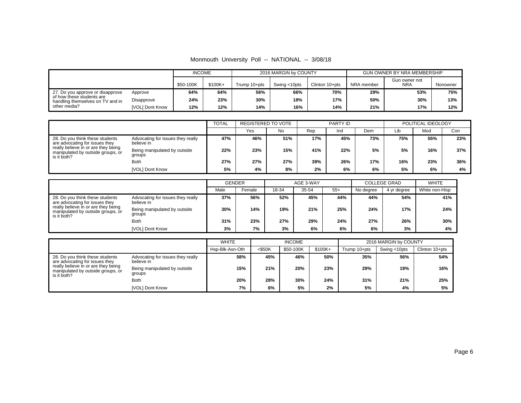|  |  |  |  | Monmouth University Poll -- NATIONAL -- 3/08/18 |  |  |
|--|--|--|--|-------------------------------------------------|--|--|
|--|--|--|--|-------------------------------------------------|--|--|

|                                                               |            | <b>INCOME</b> |           |              | 2016 MARGIN by COUNTY |                | GUN OWNER BY NRA MEMBERSHIP |                             |          |
|---------------------------------------------------------------|------------|---------------|-----------|--------------|-----------------------|----------------|-----------------------------|-----------------------------|----------|
|                                                               |            | \$50-100K     | $$100K +$ | Trump 10+pts | Swing <10pts          | Clinton 10+pts | NRA member                  | Gun owner not<br><b>NRA</b> | Nonowner |
| 27. Do you approve or disapprove                              | Approve    | 64%           | 64%       | 56%          | 66%                   | 70%            | 29%                         | 53%                         | 75%      |
| of how these students are<br>handling themselves on TV and in | Disapprove | 24%           | 23%       | 30%          | 18%                   | 17%            | 50%                         | 30%                         | 13%      |
| other media?<br>[VOL] Dont Know                               |            | 12%           | 12%       | 14%          | 16%                   | 14%            | 21%                         | 17%                         | 12%      |

|                                                                                         |                                                 | <b>TOTAL</b> | REGISTERED TO VOTE |     |     | PARTY ID |     |     | POLITICAL IDEOLOGY |     |
|-----------------------------------------------------------------------------------------|-------------------------------------------------|--------------|--------------------|-----|-----|----------|-----|-----|--------------------|-----|
|                                                                                         |                                                 |              | Yes                | No  | Rep | Ind      | Dem | Lib | Mod                | Con |
| 28. Do you think these students<br>are advocating for issues they                       | Advocating for issues they really<br>believe in | 47%          | 46%                | 51% | 17% | 45%      | 73% | 75% | 55%                | 23% |
| really believe in or are they being<br>manipulated by outside groups, or<br>is it both? | Being manipulated by outside<br>groups          | 22%          | 23%                | 15% | 41% | 22%      | 5%  | 5%  | 16%                | 37% |
|                                                                                         | <b>Both</b>                                     | 27%          | 27%                | 27% | 39% | 26%      | 17% | 16% | 23%                | 36% |
|                                                                                         | [VOL] Dont Know                                 | 5%           | 4%                 | 8%  | 2%  | 6%       | 6%  | 5%  | 6%                 | 4%  |

|                                                                                         |                                                 | <b>GENDER</b> |        |     | AGE 3-WAY |       | <b>COLLEGE GRAD</b> |             | <b>WHITE</b>   |
|-----------------------------------------------------------------------------------------|-------------------------------------------------|---------------|--------|-----|-----------|-------|---------------------|-------------|----------------|
|                                                                                         |                                                 | Male          | Female |     | 35-54     | $55+$ | No degree           | 4 yr degree | White non-Hisp |
| 28. Do you think these students<br>are advocating for issues they                       | Advocating for issues they really<br>believe in | 37%           | 56%    | 52% | 45%       | 44%   | 44%                 | 54%         | 41%            |
| really believe in or are they being<br>manipulated by outside groups, or<br>is it both? | Being manipulated by outside<br>groups          | 30%           | 14%    | 19% | 21%       | 25%   | 24%                 | 17%         | 24%            |
|                                                                                         | <b>Both</b>                                     | 31%           | 23%    | 27% | 29%       | 24%   | 27%                 | 26%         | 30%            |
|                                                                                         | [VOL] Dont Know                                 | 3%            | 7%     | 3%  | 6%        | 6%    | 6%                  | 3%          | 4%             |

|                                                                                         |                                                 | <b>WHITE</b>    |           | <b>INCOME</b> |          |              | 2016 MARGIN by COUNTY |                |
|-----------------------------------------------------------------------------------------|-------------------------------------------------|-----------------|-----------|---------------|----------|--------------|-----------------------|----------------|
|                                                                                         |                                                 | Hsp-Blk-Asn-Oth | $<$ \$50K | \$50-100K     | $$100K+$ | Trump 10+pts | Swing <10pts          | Clinton 10+pts |
| 28. Do you think these students<br>are advocating for issues they                       | Advocating for issues they really<br>believe in | 58%             | 45%       | 46%           | 50%      | 35%          | 56%                   | 54%            |
| really believe in or are they being<br>manipulated by outside groups, or<br>is it both? | Being manipulated by outside<br>groups          | 15%             | 21%       | 20%           | 23%      | 29%          | 19%                   | 16%            |
|                                                                                         | <b>Both</b>                                     | 20%             | 28%       | 30%           | 24%      | 31%          | 21%                   | 25%            |
|                                                                                         | <b>IVOLI Dont Know</b>                          | 7%              | 6%        | 5%            | 2%       | 5%           | 4%                    | 5%             |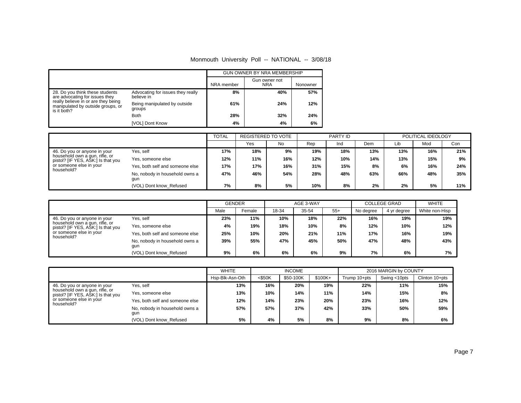## Monmouth University Poll -- NATIONAL -- 3/08/18

|                                                                                         |                                                 |            | <b>GUN OWNER BY NRA MEMBERSHIP</b> |          |
|-----------------------------------------------------------------------------------------|-------------------------------------------------|------------|------------------------------------|----------|
|                                                                                         |                                                 | NRA member | Gun owner not<br><b>NRA</b>        | Nonowner |
| 28. Do you think these students<br>are advocating for issues they                       | Advocating for issues they really<br>believe in | 8%         | 40%                                | 57%      |
| really believe in or are they being<br>manipulated by outside groups, or<br>is it both? | Being manipulated by outside<br>groups          | 61%        | 24%                                | 12%      |
|                                                                                         | <b>Both</b>                                     | 28%        | 32%                                | 24%      |
|                                                                                         | [VOL] Dont Know                                 | 4%         | 4%                                 | 6%       |

|                                                                      |                                       |     | <b>TOTAL</b><br><b>REGISTERED TO VOTE</b><br>PARTY ID |     |     | POLITICAL IDEOLOGY |     |     |     |     |
|----------------------------------------------------------------------|---------------------------------------|-----|-------------------------------------------------------|-----|-----|--------------------|-----|-----|-----|-----|
|                                                                      |                                       |     | Yes                                                   | No  | Rep | Ind                | Dem | Lib | Mod | Con |
| 46. Do you or anyone in your                                         | Yes, self                             | 17% | 18%                                                   | 9%  | 19% | 18%                | 13% | 13% | 16% | 21% |
| household own a gun, rifle, or<br>pistol? [IF YES, ASK:] Is that you | Yes, someone else                     | 12% | 11%                                                   | 16% | 12% | 10%                | 14% | 13% | 15% | 9%  |
| or someone else in your<br>household?                                | Yes, both self and someone else       | 17% | 17%                                                   | 16% | 31% | 15%                | 8%  | 6%  | 16% | 24% |
|                                                                      | No, nobody in household owns a<br>qun | 47% | 46%                                                   | 54% | 28% | 48%                | 63% | 66% | 48% | 35% |
|                                                                      | (VOL) Dont know Refused               | 7%  | 8%                                                    | 5%  | 10% | 8%                 | 2%  | 2%  | 5%  | 11% |

|                                                                                                      |                                       | <b>GENDER</b> |        |       | AGE 3-WAY |       | <b>COLLEGE GRAD</b> | <b>WHITE</b> |                |
|------------------------------------------------------------------------------------------------------|---------------------------------------|---------------|--------|-------|-----------|-------|---------------------|--------------|----------------|
|                                                                                                      |                                       | Male          | Female | 18-34 | 35-54     | $55+$ | No degree           | 4 yr degree  | White non-Hisp |
| 46. Do you or anyone in your<br>household own a gun, rifle, or<br>pistol? [IF YES, ASK:] Is that you | Yes, self                             | 23%           | 11%    | 10%   | 18%       | 22%   | 16%                 | 19%          | 19%            |
|                                                                                                      | Yes, someone else                     | 4%            | 19%    | 18%   | 10%       | 8%    | 12%                 | 10%          | 12%            |
| or someone else in your                                                                              | Yes, both self and someone else       | 25%           | 10%    | 20%   | 21%       | 11%   | 17%                 | 16%          | 19%            |
| household?                                                                                           | No, nobody in household owns a<br>gun | 39%           | 55%    | 47%   | 45%       | 50%   | 47%                 | 48%          | 43%            |
|                                                                                                      | (VOL) Dont know Refused               | 9%            | 6%     | 6%    | 6%        | 9%    | 7%                  | 6%           | 7%             |

|                                                                      |                                       | <b>WHITE</b>    |           | <b>INCOME</b> |          |              | 2016 MARGIN by COUNTY |                |
|----------------------------------------------------------------------|---------------------------------------|-----------------|-----------|---------------|----------|--------------|-----------------------|----------------|
|                                                                      |                                       | Hsp-Blk-Asn-Oth | $<$ \$50K | \$50-100K     | $$100K+$ | Trump 10+pts | Swing <10pts          | Clinton 10+pts |
| 46. Do you or anyone in your                                         | Yes, self                             | 13%             | 16%       | 20%           | 19%      | 22%          | 11%                   | 15%            |
| household own a gun, rifle, or<br>pistol? [IF YES, ASK:] Is that you | Yes, someone else                     | 13%             | 10%       | 14%           | 11%      | 14%          | 15%                   | 8%             |
| or someone else in your<br>household?                                | Yes, both self and someone else       | 12%             | 14%       | 23%           | 20%      | 23%          | 16%                   | 12%            |
|                                                                      | No, nobody in household owns a<br>gun | 57%             | 57%       | 37%           | 42%      | 33%          | 50%                   | 59%            |
|                                                                      | (VOL) Dont know Refused               | 5%              | 4%        | 5%            | 8%       | 9%           | 8%                    | 6%             |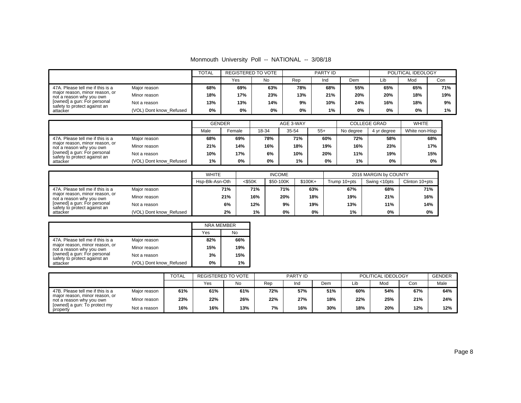|  |  |  |  | Monmouth University Poll -- NATIONAL -- 3/08/18 |  |  |
|--|--|--|--|-------------------------------------------------|--|--|
|--|--|--|--|-------------------------------------------------|--|--|

|                                                             |                         |     | <b>REGISTERED TO VOTE</b> |     | <b>PARTY ID</b> |     |     | POLITICAL IDEOLOGY |     |     |
|-------------------------------------------------------------|-------------------------|-----|---------------------------|-----|-----------------|-----|-----|--------------------|-----|-----|
|                                                             |                         |     | Yes                       | No  | Rep             | Ind | Dem | Lib                | Mod | Con |
| 47A. Please tell me if this is a                            | Major reason            | 68% | 69%                       | 63% | 78%             | 68% | 55% | 65%                | 65% | 71% |
| major reason, minor reason, or<br>not a reason why you own  | Minor reason            | 18% | 17%                       | 23% | 13%             | 21% | 20% | 20%                | 18% | 19% |
| [owned] a gun: For personal<br>safety to protect against an | Not a reason            | 13% | 13%                       | 14% | 9%              | 10% | 24% | 16%                | 18% | 9%  |
| attacker                                                    | (VOL) Dont know Refused | 0%  | 0%                        | 0%  | 0%              | 1%  | 0%  | 0%                 | 0%  | 1%  |

|                                                                                                                                                               |                         | <b>GENDER</b> |        | AGE 3-WAY |       |       | <b>COLLEGE GRAD</b> | <b>WHITE</b> |                |
|---------------------------------------------------------------------------------------------------------------------------------------------------------------|-------------------------|---------------|--------|-----------|-------|-------|---------------------|--------------|----------------|
|                                                                                                                                                               |                         | Male          | Female | 18-34     | 35-54 | $55+$ | No degree           | 4 yr degree  | White non-Hisp |
| 47A. Please tell me if this is a<br>major reason, minor reason, or<br>not a reason why you own<br>[owned] a gun: For personal<br>safety to protect against an | Maior reason            | 68%           | 69%    | 78%       | 71%   | 60%   | 72%                 | 58%          | 68%            |
|                                                                                                                                                               | Minor reason            | 21%           | 14%    | 16%       | 18%   | 19%   | 16%                 | 23%          | 17%            |
|                                                                                                                                                               | Not a reason            | 10%           | 17%    | 6%        | 10%   | 20%   | 11%                 | 19%          | 15%            |
| attacker                                                                                                                                                      | (VOL) Dont know Refused | 1%            | 0%     | 0%        | 1%    | 0%    | 1%                  | $0\%$        | 0%             |

|                                                                                                |                         | <b>WHITE</b><br><b>INCOME</b> |           |           |          | 2016 MARGIN by COUNTY |              |                |  |
|------------------------------------------------------------------------------------------------|-------------------------|-------------------------------|-----------|-----------|----------|-----------------------|--------------|----------------|--|
|                                                                                                |                         | Hsp-Blk-Asn-Oth               | $<$ \$50K | \$50-100K | $$100K+$ | Trump 10+pts          | Swing <10pts | Clinton 10+pts |  |
| 47A. Please tell me if this is a<br>major reason, minor reason, or<br>not a reason why you own | Major reason            | 71%                           | 71%       | 71%       | 63%      | 67%                   | 68%          | 71%            |  |
|                                                                                                | Minor reason            | 21%                           | 16%       | 20%       | 18%      | 19%                   | 21%          | 16%            |  |
| fowned] a gun: For personal                                                                    | Not a reason            | 6%                            | 12%       | 9%        | 19%      | 13%                   | 11%          | 14%            |  |
| safety to protect against an<br>attacker                                                       | (VOL) Dont know Refused | 2%                            | 1%        | 0%        | 0%       | 1%                    | 0%           | 0%             |  |

|                                                             |                         | <b>NRA MEMBER</b> |     |
|-------------------------------------------------------------|-------------------------|-------------------|-----|
|                                                             |                         | Yes               | No  |
| 47A. Please tell me if this is a                            | Major reason            | 82%               | 66% |
| major reason, minor reason, or<br>not a reason why you own  | Minor reason            | 15%               | 19% |
| [owned] a gun: For personal<br>safety to protect against an | Not a reason            | 3%                | 15% |
| attacker                                                    | (VOL) Dont know Refused | 0%                | 1%  |

|                                                            | <b>TOTAL</b> |     | <b>REGISTERED TO VOTE</b> |     | PARTY ID |     |     | POLITICAL IDEOLOGY |     |     | <b>GENDER</b> |
|------------------------------------------------------------|--------------|-----|---------------------------|-----|----------|-----|-----|--------------------|-----|-----|---------------|
|                                                            |              |     | Yes                       | No. | Rep      | Ind | Dem | Lib                | Mod | Con | Male          |
| 47B. Please tell me if this is a                           | Major reason | 61% | 61%                       | 61% | 72%      | 57% | 51% | 60%                | 54% | 67% | 64%           |
| maior reason, minor reason, or<br>not a reason why you own | Minor reason | 23% | 22%                       | 26% | 22%      | 27% | 18% | 22%                | 25% | 21% | 24%           |
| fowned] a gun: To protect my<br>property                   | Not a reason | 16% | 16%                       | 13% | 7%       | 16% | 30% | 18%                | 20% | 12% | 12%           |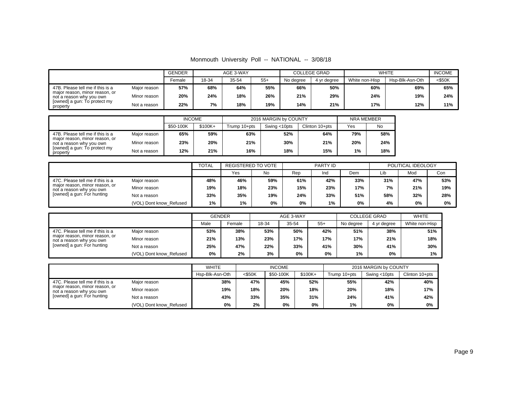Monmouth University Poll -- NATIONAL -- 3/08/18

|                                                            |              | <b>GENDER</b><br>AGE 3-WAY |       |       |       | <b>COLLEGE GRAD</b> | <b>WHITE</b> | <b>INCOME</b>  |                 |        |
|------------------------------------------------------------|--------------|----------------------------|-------|-------|-------|---------------------|--------------|----------------|-----------------|--------|
|                                                            |              | Female                     | 18-34 | 35-54 | $55+$ | No dearee           | 4 vr dearee  | White non-Hisp | Hsp-Blk-Asn-Oth | <\$50K |
| 47B. Please tell me if this is a                           | Major reason | 57%                        | 68%   | 64%   | 55%   | 66%                 | 50%          | 60%            | 69%             | 65%    |
| major reason, minor reason, or<br>not a reason why you own | Minor reason | 20%                        | 24%   | 18%   | 26%   | 21%                 | 29%          | 24%            | 19%             | 24%    |
| [owned] a gun: To protect my<br>property                   | Not a reason | 22%                        | 7%    | 18%   | 19%   | 14%                 | 21%          | 17%            | 12%             | 11%    |

|                                                            |              | <b>INCOME</b> |          |              | 2016 MARGIN by COUNTY |                | <b>NRA MEMBER</b> |     |  |
|------------------------------------------------------------|--------------|---------------|----------|--------------|-----------------------|----------------|-------------------|-----|--|
|                                                            |              | \$50-100K     | $$100K+$ | Trump 10+pts | Swing <10pts          | Clinton 10+pts | Yes               | No  |  |
| 47B. Please tell me if this is a                           | Major reason | 65%           | 59%      | 63%          | 52%                   | 64%            | 79%               | 58% |  |
| major reason, minor reason, or<br>not a reason why you own | Minor reason | 23%           | 20%      | 21%          | 30%                   | 21%            | 20%               | 24% |  |
| [owned] a gun: To protect my<br>property                   | Not a reason | 12%           | 21%      | 16%          | 18%                   | 15%            | 1%                | 18% |  |

|                                                            |                         | <b>TOTAL</b> | <b>REGISTERED TO VOTE</b> |     |     | PARTY ID |     |     | POLITICAL IDEOLOGY |     |  |
|------------------------------------------------------------|-------------------------|--------------|---------------------------|-----|-----|----------|-----|-----|--------------------|-----|--|
|                                                            |                         |              | Yes                       | No  | Rep | Ind      | Dem | Lib | Mod                | Con |  |
| 47C. Please tell me if this is a                           | Major reason            | 48%          | 46%                       | 59% | 61% | 42%      | 33% | 31% | 47%                | 53% |  |
| major reason, minor reason, or<br>not a reason why you own | Minor reason            | 19%          | 18%                       | 23% | 15% | 23%      | 17% | 7%  | 21%                | 19% |  |
| [owned] a gun: For hunting                                 | Not a reason            | 33%          | 35%                       | 19% | 24% | 33%      | 51% | 58% | 32%                | 28% |  |
|                                                            | (VOL) Dont know Refused | 1%           | 1%                        | 0%  | 0%  | $1\%$    | 0%  | 4%  | 0%                 | 0%  |  |

|                                                                                                                              |                         | <b>GENDER</b> |        |       | AGE 3-WAY |       | <b>COLLEGE GRAD</b> | <b>WHITE</b> |                |
|------------------------------------------------------------------------------------------------------------------------------|-------------------------|---------------|--------|-------|-----------|-------|---------------------|--------------|----------------|
|                                                                                                                              |                         | Male          | Female | 18-34 | 35-54     | $55+$ | No degree           | 4 yr degree  | White non-Hisp |
| 47C. Please tell me if this is a<br>major reason, minor reason, or<br>not a reason why you own<br>[owned] a gun: For hunting | Major reason            | 53%           | 38%    | 53%   | 50%       | 42%   | 51%                 | 38%          | 51%            |
|                                                                                                                              | Minor reason            | 21%           | 13%    | 23%   | 17%       | 17%   | 17%                 | 21%          | 18%            |
|                                                                                                                              | Not a reason            | 25%           | 47%    | 22%   | 33%       | 41%   | 30%                 | 41%          | 30%            |
|                                                                                                                              | (VOL) Dont know Refused | $0\%$         | 2%     | 3%    | $0\%$     | 0%    | 1%                  | 0%           | 1%             |

|                                                            |                         |                 | <b>INCOME</b><br><b>WHITE</b> |           |          |              | 2016 MARGIN by COUNTY |                |  |  |
|------------------------------------------------------------|-------------------------|-----------------|-------------------------------|-----------|----------|--------------|-----------------------|----------------|--|--|
|                                                            |                         | Hsp-Blk-Asn-Oth | $<$ \$50K                     | \$50-100K | $$100K+$ | Trump 10+pts | Swing <10pts          | Clinton 10+pts |  |  |
| 47C. Please tell me if this is a                           | Major reason            | 38%             | 47%                           | 45%       | 52%      | 55%          | 42%                   | 40%            |  |  |
| major reason, minor reason, or<br>not a reason why you own | Minor reason            | 19%             | 18%                           | 20%       | 18%      | 20%          | 18%                   | 17%            |  |  |
| [owned] a gun: For hunting                                 | Not a reason            | 43%             | 33%                           | 35%       | 31%      | 24%          | 41%                   | 42%            |  |  |
|                                                            | (VOL) Dont know Refused | 0%              | 2%                            | 0%        | 0%       | 1%           | 0%                    | $0\%$          |  |  |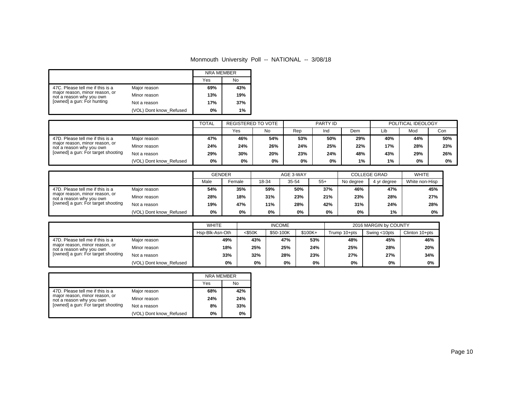## Monmouth University Poll -- NATIONAL -- 3/08/18

|                                                            |                         | <b>NRA MEMBER</b> |           |
|------------------------------------------------------------|-------------------------|-------------------|-----------|
|                                                            |                         | Yes               | <b>No</b> |
| 47C. Please tell me if this is a                           | Major reason            | 69%               | 43%       |
| major reason, minor reason, or<br>not a reason why you own | Minor reason            | 13%               | 19%       |
| [owned] a gun: For hunting                                 | Not a reason            | 17%               | 37%       |
|                                                            | (VOL) Dont know_Refused | 0%                | 1%        |

|                                                            |                         | <b>TOTAL</b> | REGISTERED TO VOTE |     |     | PARTY ID |     |     | POLITICAL IDEOLOGY |     |  |
|------------------------------------------------------------|-------------------------|--------------|--------------------|-----|-----|----------|-----|-----|--------------------|-----|--|
|                                                            |                         |              | Yes                | No  | Rep | Ind      | Dem | Lib | Mod                | Con |  |
| 47D. Please tell me if this is a                           | Major reason            | 47%          | 46%                | 54% | 53% | 50%      | 29% | 40% | 44%                | 50% |  |
| major reason, minor reason, or<br>not a reason why you own | Minor reason            | 24%          | 24%                | 26% | 24% | 25%      | 22% | 17% | 28%                | 23% |  |
| [owned] a gun: For target shooting                         | Not a reason            | 29%          | 30%                | 20% | 23% | 24%      | 48% | 43% | 29%                | 26% |  |
|                                                            | (VOL) Dont know Refused | 0%           | 0%                 | 0%  | 0%  | 0%       | 1%  | 1%  | 0%                 | 0%  |  |

|                                                            |                         | <b>GENDER</b> |        |       | AGE 3-WAY |       | <b>COLLEGE GRAD</b> | <b>WHITE</b> |                |
|------------------------------------------------------------|-------------------------|---------------|--------|-------|-----------|-------|---------------------|--------------|----------------|
|                                                            |                         |               | Female | 18-34 | 35-54     | $55+$ | No degree           | 4 yr degree  | White non-Hisp |
| 47D. Please tell me if this is a                           | Major reason            | 54%           | 35%    | 59%   | 50%       | 37%   | 46%                 | 47%          | 45%            |
| major reason, minor reason, or<br>not a reason why you own | Minor reason            | 28%           | 18%    | 31%   | 23%       | 21%   | 23%                 | 28%          | 27%            |
| [owned] a gun: For target shooting                         | Not a reason            | 19%           | 47%    | 11%   | 28%       | 42%   | 31%                 | 24%          | 28%            |
|                                                            | (VOL) Dont know Refused | 0%            | 0%     | 0%    | 0%        | 0%    | 0%                  | 1%           | 0%             |

|                                                            |                         | <b>WHITE</b>    |           | <b>INCOME</b> |          |              | 2016 MARGIN by COUNTY |                |
|------------------------------------------------------------|-------------------------|-----------------|-----------|---------------|----------|--------------|-----------------------|----------------|
|                                                            |                         | Hsp-Blk-Asn-Oth | $<$ \$50K | \$50-100K     | $$100K+$ | Trump 10+pts | Swing <10pts          | Clinton 10+pts |
| 47D. Please tell me if this is a                           | Major reason            | 49%             | 43%       | 47%           | 53%      | 48%          | 45%                   | 46%            |
| major reason, minor reason, or<br>not a reason why you own | Minor reason            | 18%             | 25%       | 25%           | 24%      | 25%          | 28%                   | 20%            |
| [owned] a gun: For target shooting                         | Not a reason            | 33%             | 32%       | 28%           | 23%      | 27%          | 27%                   | 34%            |
|                                                            | (VOL) Dont know Refused | 0%              | $0\%$     | 0%            | 0%       | 0%           | 0%                    | 0%             |

|                                                            |                         | <b>NRA MEMBER</b> |     |
|------------------------------------------------------------|-------------------------|-------------------|-----|
|                                                            |                         | Yes               | No  |
| 47D. Please tell me if this is a                           | Major reason            | 68%               | 42% |
| major reason, minor reason, or<br>not a reason why you own | Minor reason            | 24%               | 24% |
| [owned] a gun: For target shooting                         | Not a reason            | 8%                | 33% |
|                                                            | (VOL) Dont know Refused | 0%                | 0%  |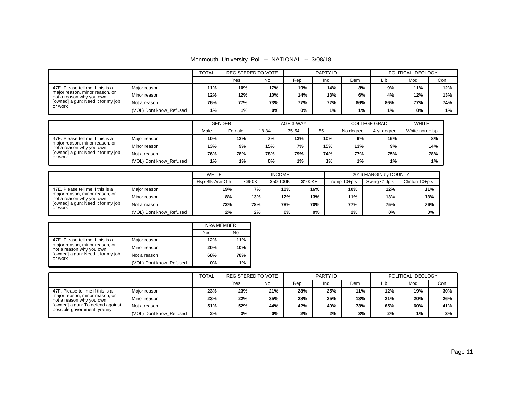| Monmouth University Poll -- NATIONAL -- 3/08/18 |  |  |  |  |  |
|-------------------------------------------------|--|--|--|--|--|
|-------------------------------------------------|--|--|--|--|--|

|                                                            |                         |     | <b>TOTAL</b><br><b>REGISTERED TO VOTE</b><br>PARTY ID |     |     | POLITICAL IDEOLOGY |     |     |     |     |
|------------------------------------------------------------|-------------------------|-----|-------------------------------------------------------|-----|-----|--------------------|-----|-----|-----|-----|
|                                                            |                         |     | Yes                                                   | No. | Rep | Ind                | Dem | Lib | Mod | Con |
| 47E. Please tell me if this is a                           | Major reason            | 11% | 10%                                                   | 17% | 10% | 14%                | 8%  | 9%  | 11% | 12% |
| major reason, minor reason, or<br>not a reason why you own | Minor reason            | 12% | 12%                                                   | 10% | 14% | 13%                | 6%  | 4%  | 12% | 13% |
| [owned] a gun: Need it for my job<br>or work               | Not a reason            | 76% | 77%                                                   | 73% | 77% | 72%                | 86% | 86% | 77% | 74% |
|                                                            | (VOL) Dont know Refused | 1%  | 1%                                                    | 0%  | 0%  | 1%                 | 1%  | 1%  | 0%  | 1%  |

|                                                            |                         | <b>GENDER</b> |        |       | AGE 3-WAY |       | <b>COLLEGE GRAD</b> | <b>WHITE</b> |                |
|------------------------------------------------------------|-------------------------|---------------|--------|-------|-----------|-------|---------------------|--------------|----------------|
|                                                            |                         | Male          | Female | 18-34 | 35-54     | $55+$ | No dearee           | 4 vr dearee  | White non-Hisp |
| 47E. Please tell me if this is a                           | Major reason            | 10%           | 12%    | 7%    | 13%       | 10%   | 9%                  | 15%          | 8%             |
| major reason, minor reason, or<br>not a reason why you own | Minor reason            | 13%           | 9%     | 15%   | 7%        | 15%   | 13%                 | 9%           | 14%            |
| [owned] a gun: Need it for my job<br>or work               | Not a reason            | 76%           | 78%    | 78%   | 79%       | 74%   | 77%                 | 75%          | 78%            |
|                                                            | (VOL) Dont know Refused | 1%            | 1%     | 0%    | 1%        | 1%    | $1\%$               | 1%           | $1\%$          |

|                                                            |                         |                 | <b>WHITE</b><br><b>INCOME</b> |           |          |              | 2016 MARGIN by COUNTY |                |  |  |
|------------------------------------------------------------|-------------------------|-----------------|-------------------------------|-----------|----------|--------------|-----------------------|----------------|--|--|
|                                                            |                         | Hsp-Blk-Asn-Oth | $<$ \$50K                     | \$50-100K | $$100K+$ | Trump 10+pts | Swing <10pts          | Clinton 10+pts |  |  |
| 47E. Please tell me if this is a                           | Major reason            | 19%             | 7%                            | 10%       | 16%      | 10%          | 12%                   | 11%            |  |  |
| major reason, minor reason, or<br>not a reason why you own | Minor reason            | 8%              | 13%                           | 12%       | 13%      | 11%          | 13%                   | 13%            |  |  |
| [owned] a gun: Need it for my job<br>or work               | Not a reason            | 72%             | 78%                           | 78%       | 70%      | 77%          | 75%                   | 76%            |  |  |
|                                                            | (VOL) Dont know Refused | 2%              | 2%                            | 0%        | 0%       | 2%           | 0%                    | 0%             |  |  |

|                                                            |                         | <b>NRA MEMBER</b> |     |
|------------------------------------------------------------|-------------------------|-------------------|-----|
|                                                            |                         | Yes               | No  |
| 47E. Please tell me if this is a                           | Major reason            | 12%               | 11% |
| major reason, minor reason, or<br>not a reason why you own | Minor reason            | 20%               | 10% |
| [owned] a gun: Need it for my job<br>or work               | Not a reason            | 68%               | 78% |
|                                                            | (VOL) Dont know Refused | 0%                | 1%  |

|                                                                 |                         |     | <b>REGISTERED TO VOTE</b> |           |     | PARTY ID |     |     | POLITICAL IDEOLOGY |     |  |
|-----------------------------------------------------------------|-------------------------|-----|---------------------------|-----------|-----|----------|-----|-----|--------------------|-----|--|
|                                                                 |                         |     | Yes                       | <b>No</b> | Rep | Ind      | Dem | Lib | Mod                | Con |  |
| 47F. Please tell me if this is a                                | Maior reason            | 23% | 23%                       | 21%       | 28% | 25%      | 11% | 12% | 19%                | 30% |  |
| major reason, minor reason, or<br>not a reason why you own      | Minor reason            | 23% | 22%                       | 35%       | 28% | 25%      | 13% | 21% | 20%                | 26% |  |
| [owned] a gun: To defend against<br>possible government tyranny | Not a reason            | 51% | 52%                       | 44%       | 42% | 49%      | 73% | 65% | 60%                | 41% |  |
|                                                                 | (VOL) Dont know_Refused | 2%  | 3%                        | 0%        | 2%  | 2%       | 3%  | 2%  | $1\%$              | 3%  |  |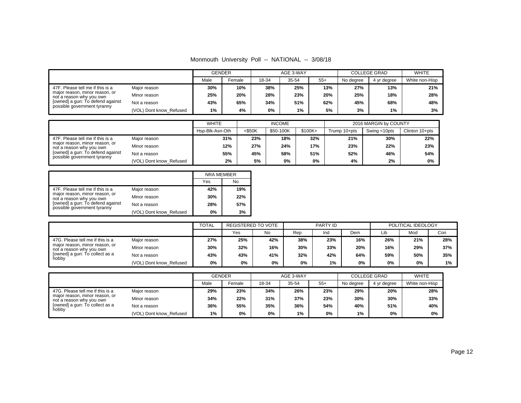|  |  |  |  | Monmouth University Poll -- NATIONAL -- 3/08/18 |  |  |
|--|--|--|--|-------------------------------------------------|--|--|
|--|--|--|--|-------------------------------------------------|--|--|

|                                                                                                                                                                                                                   |                         | <b>GENDER</b> |        |       | AGE 3-WAY |       | <b>COLLEGE GRAD</b> |             | <b>WHITE</b>   |
|-------------------------------------------------------------------------------------------------------------------------------------------------------------------------------------------------------------------|-------------------------|---------------|--------|-------|-----------|-------|---------------------|-------------|----------------|
|                                                                                                                                                                                                                   |                         | Male          | Female | 18-34 | 35-54     | $55+$ | No degree           | 4 yr degree | White non-Hisp |
| 47F. Please tell me if this is a<br>Major reason<br>major reason, minor reason, or<br>Minor reason<br>not a reason why you own<br>[owned] a gun: To defend against<br>Not a reason<br>possible government tyranny |                         | 30%           | 10%    | 38%   | 25%       | 13%   | 27%                 | 13%         | 21%            |
|                                                                                                                                                                                                                   |                         | 25%           | 20%    | 28%   | 23%       | 20%   | 25%                 | 18%         | 28%            |
|                                                                                                                                                                                                                   |                         | 43%           | 65%    | 34%   | 51%       | 62%   | 45%                 | 68%         | 48%            |
|                                                                                                                                                                                                                   | (VOL) Dont know Refused | $1\%$         | 4%     | 0%    | 1%        | 5%    | 3%                  | 1%          | 3%             |

|                                                                                                                                                                   |                         | <b>WHITE</b><br><b>INCOME</b> |           |           | 2016 MARGIN by COUNTY |              |              |                |
|-------------------------------------------------------------------------------------------------------------------------------------------------------------------|-------------------------|-------------------------------|-----------|-----------|-----------------------|--------------|--------------|----------------|
|                                                                                                                                                                   |                         | Hsp-Blk-Asn-Oth               | $<$ \$50K | \$50-100K | $$100K +$             | Trump 10+pts | Swing <10pts | Clinton 10+pts |
| 47F. Please tell me if this is a<br>maior reason, minor reason, or<br>not a reason why you own<br>[owned] a gun: To defend against<br>possible government tyranny | Maior reason            | 31%                           | 23%       | 18%       | 32%                   | 21%          | 30%          | 22%            |
|                                                                                                                                                                   | Minor reason            | 12%                           | 27%       | 24%       | 17%                   | 23%          | 22%          | 23%            |
|                                                                                                                                                                   | Not a reason            | 55%                           | 45%       | 58%       | 51%                   | 52%          | 46%          | 54%            |
|                                                                                                                                                                   | (VOL) Dont know Refused | 2%                            | 5%        | $0\%$     | 0%                    | 4%           | 2%           | 0%             |

|                                                                 |                         | <b>NRA MEMBER</b> |     |
|-----------------------------------------------------------------|-------------------------|-------------------|-----|
|                                                                 |                         | Yes               | No  |
| 47F. Please tell me if this is a                                | Major reason            | 42%               | 19% |
| major reason, minor reason, or<br>not a reason why you own      | Minor reason            | 30%               | 22% |
| [owned] a gun: To defend against<br>possible government tyranny | Not a reason            | 28%               | 57% |
|                                                                 | (VOL) Dont know Refused | $0\%$             | 3%  |

|                                                                                                                                           |                         | <b>TOTAL</b> | REGISTERED TO VOTE |     | PARTY ID |     |     | POLITICAL IDEOLOGY |     |       |
|-------------------------------------------------------------------------------------------------------------------------------------------|-------------------------|--------------|--------------------|-----|----------|-----|-----|--------------------|-----|-------|
|                                                                                                                                           |                         |              | Yes                | No  | Rep      | Ind | Dem | Lib                | Mod | Con   |
| 47G. Please tell me if this is a<br>major reason, minor reason, or<br>not a reason why you own<br>[owned] a gun: To collect as a<br>hobby | Major reason            | 27%          | 25%                | 42% | 38%      | 23% | 16% | 26%                | 21% | 28%   |
|                                                                                                                                           | Minor reason            | 30%          | 32%                | 16% | 30%      | 33% | 20% | 16%                | 29% | 37%   |
|                                                                                                                                           | Not a reason            | 43%          | 43%                | 41% | 32%      | 42% | 64% | 59%                | 50% | 35%   |
|                                                                                                                                           | (VOL) Dont know Refused | 0%           | 0%                 | 0%  | 0%       | 1%  | 0%  | 0%                 | 0%  | $1\%$ |

|                                                                                                                                                                                           |                         | <b>GENDER</b> |        |       | AGE 3-WAY |       | <b>COLLEGE GRAD</b> |             | <b>WHITE</b>   |
|-------------------------------------------------------------------------------------------------------------------------------------------------------------------------------------------|-------------------------|---------------|--------|-------|-----------|-------|---------------------|-------------|----------------|
|                                                                                                                                                                                           |                         | Male          | Female | 18-34 | 35-54     | $55+$ | No degree           | 4 yr degree | White non-Hisp |
| 47G. Please tell me if this is a<br>Major reason<br>major reason, minor reason, or<br>Minor reason<br>not a reason why you own<br>[owned] a gun: To collect as a<br>Not a reason<br>hobby | 29%                     | 23%           | 34%    | 26%   | 23%       | 29%   | 20%                 | 28%         |                |
|                                                                                                                                                                                           |                         | 34%           | 22%    | 31%   | 37%       | 23%   | 30%                 | 30%         | 33%            |
|                                                                                                                                                                                           |                         | 36%           | 55%    | 35%   | 36%       | 54%   | 40%                 | 51%         | 40%            |
|                                                                                                                                                                                           | (VOL) Dont know Refused | 1%            | 0%     | 0%    | 1%        | 0%    | 1%                  | 0%          | 0%             |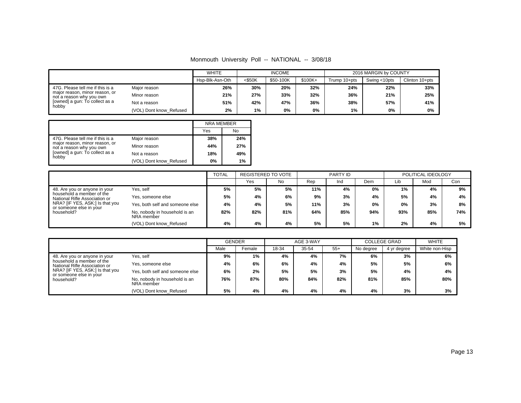## Monmouth University Poll -- NATIONAL -- 3/08/18

|                                                                                                                                                                                           |                         | <b>WHITE</b><br><b>INCOME</b> |           |           |          | 2016 MARGIN by COUNTY |              |                |
|-------------------------------------------------------------------------------------------------------------------------------------------------------------------------------------------|-------------------------|-------------------------------|-----------|-----------|----------|-----------------------|--------------|----------------|
|                                                                                                                                                                                           |                         |                               | $<$ \$50K | \$50-100K | $$100K+$ | Trump 10+pts          | Swing <10pts | Clinton 10+pts |
| 47G. Please tell me if this is a<br>Major reason<br>major reason, minor reason, or<br>Minor reason<br>not a reason why you own<br>[owned] a gun: To collect as a<br>Not a reason<br>hobby |                         | 26%                           | 30%       | 20%       | 32%      | 24%                   | 22%          | 33%            |
|                                                                                                                                                                                           |                         | 21%                           | 27%       | 33%       | 32%      | 36%                   | 21%          | 25%            |
|                                                                                                                                                                                           |                         | 51%                           | 42%       | 47%       | 36%      | 38%                   | 57%          | 41%            |
|                                                                                                                                                                                           | (VOL) Dont know Refused | 2%                            | $1\%$     | 0%        | 0%       | 1%                    | 0%           | 0%             |

|                                                                                                |                         | <b>NRA MEMBER</b> |     |
|------------------------------------------------------------------------------------------------|-------------------------|-------------------|-----|
|                                                                                                |                         | Yes               | No  |
| 47G. Please tell me if this is a<br>major reason, minor reason, or<br>not a reason why you own | Major reason            | 38%               | 24% |
|                                                                                                | Minor reason            | 44%               | 27% |
| [owned] a gun: To collect as a<br>hobby                                                        | Not a reason            | 18%               | 49% |
|                                                                                                | (VOL) Dont know_Refused | 0%                | 1%  |

|                                                                                                          |                                             | <b>TOTAL</b> | REGISTERED TO VOTE |     |     | PARTY ID |     |     | POLITICAL IDEOLOGY |     |
|----------------------------------------------------------------------------------------------------------|---------------------------------------------|--------------|--------------------|-----|-----|----------|-----|-----|--------------------|-----|
|                                                                                                          |                                             |              | Yes                | No  | Rep | Ind      | Dem | Lib | Mod                | Con |
| Yes, self<br>48. Are you or anyone in your<br>household a member of the<br>National Rifle Association or |                                             | 5%           | 5%                 | 5%  | 11% | 4%       | 0%  | 1%  | 4%                 | 9%  |
|                                                                                                          | Yes, someone else                           | 5%           | 4%                 | 6%  | 9%  | 3%       | 4%  | 5%  | 4%                 | 4%  |
| NRA? [IF YES, ASK:] Is that you                                                                          | Yes, both self and someone else             | 4%           | 4%                 | 5%  | 11% | 3%       | 0%  | 0%  | 3%                 | 8%  |
| or someone else in your<br>household?                                                                    | No. nobody in household is an<br>NRA member | 82%          | 82%                | 81% | 64% | 85%      | 94% | 93% | 85%                | 74% |
|                                                                                                          | (VOL) Dont know Refused                     | 4%           | 4%                 | 4%  | 5%  | 5%       | 1%  | 2%  | 4%                 | 5%  |

|                                                                                                                                                                                                    |                                 | <b>GENDER</b> |        | AGE 3-WAY |       |       | <b>COLLEGE GRAD</b> |             | <b>WHITE</b>   |
|----------------------------------------------------------------------------------------------------------------------------------------------------------------------------------------------------|---------------------------------|---------------|--------|-----------|-------|-------|---------------------|-------------|----------------|
|                                                                                                                                                                                                    |                                 | Male          | Female | 18-34     | 35-54 | $55+$ | No degree           | 4 yr degree | White non-Hisp |
| Yes, self<br>48. Are you or anyone in your<br>household a member of the<br>National Rifle Association or<br>NRA? [IF YES, ASK:] Is that you<br>or someone else in your<br>household?<br>NRA member |                                 | 9%            | 1%     | 4%        | 4%    | 7%    | 6%                  | 3%          | 6%             |
|                                                                                                                                                                                                    | Yes, someone else               | 4%            | 6%     | 6%        | 4%    | 4%    | 5%                  | 5%          | 6%             |
|                                                                                                                                                                                                    | Yes, both self and someone else | 6%            | 2%     | 5%        | 5%    | 3%    | 5%                  | 4%          | 4%             |
|                                                                                                                                                                                                    | No. nobody in household is an   | 76%           | 87%    | 80%       | 84%   | 82%   | 81%                 | 85%         | 80%            |
|                                                                                                                                                                                                    | (VOL) Dont know Refused         | 5%            | 4%     | 4%        | 4%    | 4%    | 4%                  | 3%          | 3%             |